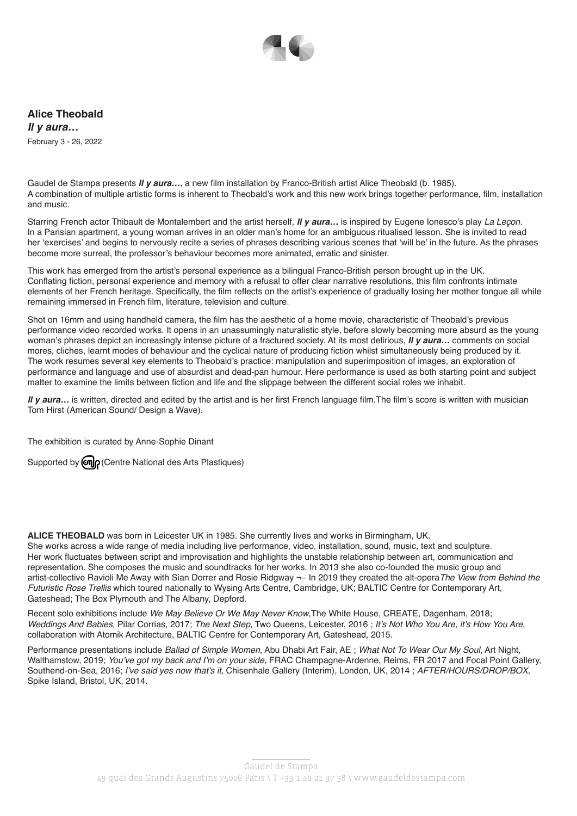

**Alice Theobald** *Il y aura…* February 3 - 26, 2022

Gaudel de Stampa presents *Il y aura…*, a new film installation by Franco-British artist Alice Theobald (b. 1985). A combination of multiple artistic forms is inherent to Theobald's work and this new work brings together performance, film, installation and music.

Starring French actor Thibault de Montalembert and the artist herself, *Il y aura…* is inspired by Eugene Ionesco's play *La Leçon*. In a Parisian apartment, a young woman arrives in an older man's home for an ambiguous ritualised lesson. She is invited to read her 'exercises' and begins to nervously recite a series of phrases describing various scenes that 'will be' in the future. As the phrases become more surreal, the professor's behaviour becomes more animated, erratic and sinister.

This work has emerged from the artist's personal experience as a bilingual Franco-British person brought up in the UK. Conflating fiction, personal experience and memory with a refusal to offer clear narrative resolutions, this film confronts intimate elements of her French heritage. Specifically, the film reflects on the artist's experience of gradually losing her mother tongue all while remaining immersed in French film, literature, television and culture.

Shot on 16mm and using handheld camera, the film has the aesthetic of a home movie, characteristic of Theobald's previous performance video recorded works. It opens in an unassumingly naturalistic style, before slowly becoming more absurd as the young woman's phrases depict an increasingly intense picture of a fractured society. At its most delirious, *Il y aura…* comments on social mores, cliches, learnt modes of behaviour and the cyclical nature of producing fiction whilst simultaneously being produced by it. The work resumes several key elements to Theobald's practice: manipulation and superimposition of images, an exploration of performance and language and use of absurdist and dead-pan humour. Here performance is used as both starting point and subject matter to examine the limits between fiction and life and the slippage between the different social roles we inhabit.

*Il y aura…* is written, directed and edited by the artist and is her first French language film.The film's score is written with musician Tom Hirst (American Sound/ Design a Wave).

The exhibition is curated by Anne-Sophie Dinant

Supported by  $\omega$   $\sim$  Centre National des Arts Plastiques)

**ALICE THEOBALD** was born in Leicester UK in 1985. She currently lives and works in Birmingham, UK.

She works across a wide range of media including live performance, video, installation, sound, music, text and sculpture. Her work fluctuates between script and improvisation and highlights the unstable relationship between art, communication and representation. She composes the music and soundtracks for her works. In 2013 she also co-founded the music group and artist-collective Ravioli Me Away with Sian Dorrer and Rosie Ridgway ¬– In 2019 they created the alt-opera*The View from Behind the Futuristic Rose Trellis* which toured nationally to Wysing Arts Centre, Cambridge, UK; BALTIC Centre for Contemporary Art, Gateshead; The Box Plymouth and The Albany, Depford.

Recent solo exhibitions include *We May Believe Or We May Never Know*,The White House, CREATE, Dagenham, 2018; *Weddings And Babies*, Pilar Corrias, 2017; *The Next Step*, Two Queens, Leicester, 2016 ; It's Not Who You Are, it's How You Are, collaboration with Atomik Architecture, BALTIC Centre for Contemporary Art, Gateshead, 2015.

Performance presentations include *Ballad of Simple Women*, Abu Dhabi Art Fair, AE ; *What Not To Wear Our My Soul*, Art Night, Walthamstow, 2019; You've got my back and I'm on your side, FRAC Champagne-Ardenne, Reims, FR 2017 and Focal Point Gallery, Southend-on-Sea, 2016; I've said yes now that's it, Chisenhale Gallery (Interim), London, UK, 2014; AFTER/HOURS/DROP/BOX, Spike Island, Bristol, UK, 2014.